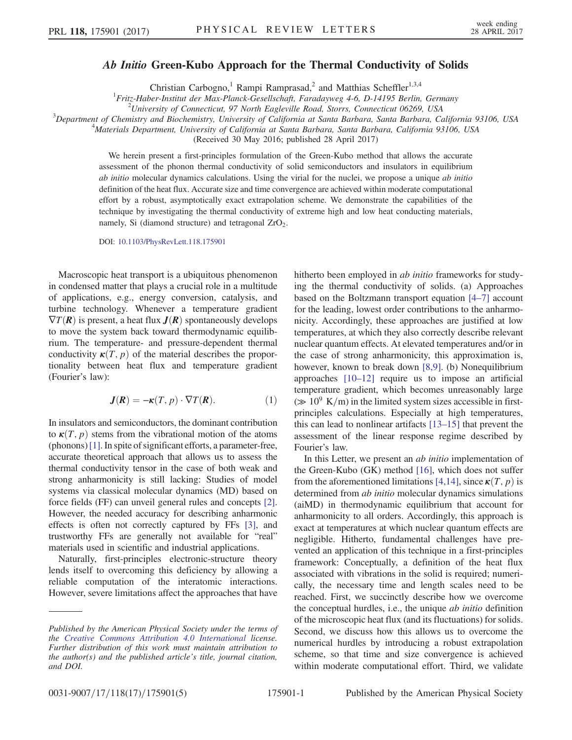## Ab Initio Green-Kubo Approach for the Thermal Conductivity of Solids

Christian Carbogno,<sup>1</sup> Rampi Ramprasad,<sup>2</sup> and Matthias Scheffler<sup>1,3,4</sup>

 $^{1}$ Fritz-Haber-Institut der Max-Planck-Gesellschaft, Faradayweg 4-6, D-14195 Berlin, Germany

 $^2$ University of Connecticut, 97 North Eagleville Road, Storrs, Connecticut 06269, USA

 $^3$ Department of Chemistry and Biochemistry, University of California at Santa Barbara, Santa Barbara, California 93106, USA

Materials Department, University of California at Santa Barbara, Santa Barbara, California 93106, USA

(Received 30 May 2016; published 28 April 2017)

We herein present a first-principles formulation of the Green-Kubo method that allows the accurate assessment of the phonon thermal conductivity of solid semiconductors and insulators in equilibrium ab initio molecular dynamics calculations. Using the virial for the nuclei, we propose a unique ab initio definition of the heat flux. Accurate size and time convergence are achieved within moderate computational effort by a robust, asymptotically exact extrapolation scheme. We demonstrate the capabilities of the technique by investigating the thermal conductivity of extreme high and low heat conducting materials, namely, Si (diamond structure) and tetragonal  $ZrO<sub>2</sub>$ .

DOI: [10.1103/PhysRevLett.118.175901](https://doi.org/10.1103/PhysRevLett.118.175901)

Macroscopic heat transport is a ubiquitous phenomenon in condensed matter that plays a crucial role in a multitude of applications, e.g., energy conversion, catalysis, and turbine technology. Whenever a temperature gradient  $\nabla T(\mathbf{R})$  is present, a heat flux  $\mathbf{J}(\mathbf{R})$  spontaneously develops to move the system back toward thermodynamic equilibrium. The temperature- and pressure-dependent thermal conductivity  $\kappa(T,p)$  of the material describes the proportionality between heat flux and temperature gradient (Fourier's law):

$$
J(R) = -\kappa(T, p) \cdot \nabla T(R). \tag{1}
$$

In insulators and semiconductors, the dominant contribution to  $\kappa(T,p)$  stems from the vibrational motion of the atoms (phonons)[\[1\]](#page-4-0). In spite of significant efforts, a parameter-free, accurate theoretical approach that allows us to assess the thermal conductivity tensor in the case of both weak and strong anharmonicity is still lacking: Studies of model systems via classical molecular dynamics (MD) based on force fields (FF) can unveil general rules and concepts [\[2\]](#page-4-1). However, the needed accuracy for describing anharmonic effects is often not correctly captured by FFs [\[3\],](#page-4-2) and trustworthy FFs are generally not available for "real" materials used in scientific and industrial applications.

Naturally, first-principles electronic-structure theory lends itself to overcoming this deficiency by allowing a reliable computation of the interatomic interactions. However, severe limitations affect the approaches that have hitherto been employed in *ab initio* frameworks for studying the thermal conductivity of solids. (a) Approaches based on the Boltzmann transport equation [4–[7\]](#page-4-3) account for the leading, lowest order contributions to the anharmonicity. Accordingly, these approaches are justified at low temperatures, at which they also correctly describe relevant nuclear quantum effects. At elevated temperatures and/or in the case of strong anharmonicity, this approximation is, however, known to break down [\[8,9\]](#page-4-4). (b) Nonequilibrium approaches [\[10](#page-4-5)–12] require us to impose an artificial temperature gradient, which becomes unreasonably large  $(\gg 10^9 \text{ K/m})$  in the limited system sizes accessible in firstprinciples calculations. Especially at high temperatures, this can lead to nonlinear artifacts [\[13](#page-4-6)–15] that prevent the assessment of the linear response regime described by Fourier's law.

In this Letter, we present an *ab initio* implementation of the Green-Kubo (GK) method [\[16\],](#page-4-7) which does not suffer from the aforementioned limitations [\[4,14\]](#page-4-3), since  $\kappa(T, p)$  is determined from *ab initio* molecular dynamics simulations (aiMD) in thermodynamic equilibrium that account for anharmonicity to all orders. Accordingly, this approach is exact at temperatures at which nuclear quantum effects are negligible. Hitherto, fundamental challenges have prevented an application of this technique in a first-principles framework: Conceptually, a definition of the heat flux associated with vibrations in the solid is required; numerically, the necessary time and length scales need to be reached. First, we succinctly describe how we overcome the conceptual hurdles, i.e., the unique ab initio definition of the microscopic heat flux (and its fluctuations) for solids. Second, we discuss how this allows us to overcome the numerical hurdles by introducing a robust extrapolation scheme, so that time and size convergence is achieved within moderate computational effort. Third, we validate

Published by the American Physical Society under the terms of the [Creative Commons Attribution 4.0 International](https://creativecommons.org/licenses/by/4.0/) license. Further distribution of this work must maintain attribution to the author(s) and the published article's title, journal citation, and DOI.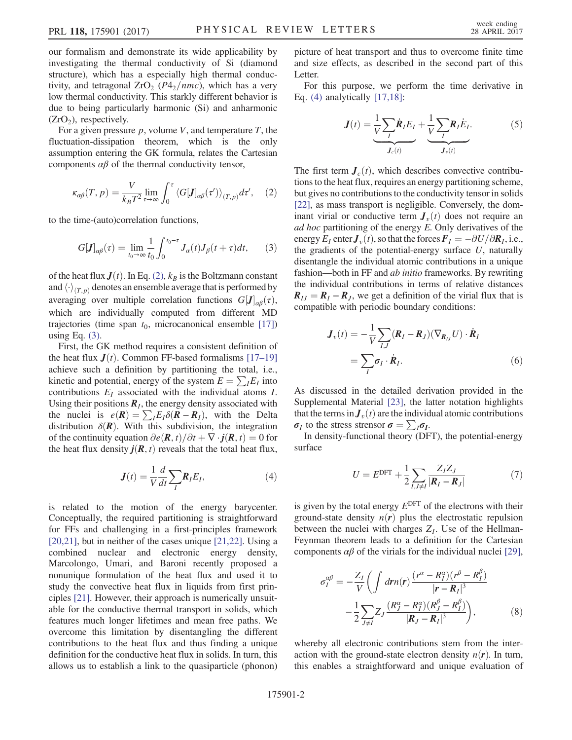our formalism and demonstrate its wide applicability by investigating the thermal conductivity of Si (diamond structure), which has a especially high thermal conductivity, and tetragonal  $ZrO<sub>2</sub>$  (P4<sub>2</sub>/nmc), which has a very low thermal conductivity. This starkly different behavior is due to being particularly harmonic (Si) and anharmonic  $(ZrO<sub>2</sub>)$ , respectively.

<span id="page-1-0"></span>For a given pressure  $p$ , volume V, and temperature T, the fluctuation-dissipation theorem, which is the only assumption entering the GK formula, relates the Cartesian components  $\alpha\beta$  of the thermal conductivity tensor,

$$
\kappa_{\alpha\beta}(T,p) = \frac{V}{k_B T^2} \lim_{\tau \to \infty} \int_0^{\tau} \langle G[J]_{\alpha\beta}(\tau') \rangle_{(T,p)} d\tau', \quad (2)
$$

<span id="page-1-1"></span>to the time-(auto)correlation functions,

$$
G[\mathbf{J}]_{\alpha\beta}(\tau) = \lim_{t_0 \to \infty} \frac{1}{t_0} \int_0^{t_0 - \tau} J_{\alpha}(t) J_{\beta}(t + \tau) dt, \qquad (3)
$$

of the heat flux  $J(t)$ . In Eq. [\(2\)](#page-1-0),  $k_B$  is the Boltzmann constant and  $\langle \cdot \rangle_{(T,p)}$  denotes an ensemble average that is performed by averaging over multiple correlation functions  $G[J]_{\alpha\beta}(\tau)$ , which are individually computed from different MD trajectories (time span  $t_0$ , microcanonical ensemble [\[17\]\)](#page-4-8) using Eq.  $(3)$ .

First, the GK method requires a consistent definition of the heat flux  $J(t)$ . Common FF-based formalisms [\[17](#page-4-8)–19] achieve such a definition by partitioning the total, i.e., kinetic and potential, energy of the system  $E = \sum_{i} E_i$  into contributions  $E_I$  associated with the individual atoms I. Using their positions  $\mathbf{R}_I$ , the energy density associated with the nuclei is  $e(\mathbf{R}) = \sum_{I} E_{I} \delta(\mathbf{R} - \mathbf{R}_{I})$ , with the Delta distribution  $\delta(R)$ . With this subdivision, the integration of the continuity equation  $\partial e(\mathbf{R}, t)/\partial t + \nabla \cdot \mathbf{j}(\mathbf{R}, t) = 0$  for the heat flux density  $j(R, t)$  reveals that the total heat flux,

$$
J(t) = \frac{1}{V} \frac{d}{dt} \sum_{I} R_{I} E_{I},
$$
\n(4)

<span id="page-1-2"></span>is related to the motion of the energy barycenter. Conceptually, the required partitioning is straightforward for FFs and challenging in a first-principles framework [\[20,21\]](#page-4-9), but in neither of the cases unique [\[21,22\]](#page-4-10). Using a combined nuclear and electronic energy density, Marcolongo, Umari, and Baroni recently proposed a nonunique formulation of the heat flux and used it to study the convective heat flux in liquids from first principles [\[21\]](#page-4-10). However, their approach is numerically unsuitable for the conductive thermal transport in solids, which features much longer lifetimes and mean free paths. We overcome this limitation by disentangling the different contributions to the heat flux and thus finding a unique definition for the conductive heat flux in solids. In turn, this allows us to establish a link to the quasiparticle (phonon) picture of heat transport and thus to overcome finite time and size effects, as described in the second part of this Letter.

For this purpose, we perform the time derivative in Eq. [\(4\)](#page-1-2) analytically [\[17,18\]:](#page-4-8)

$$
J(t) = \underbrace{\frac{1}{V} \sum_{I} \dot{R}_{I} E_{I}}_{J_{c}(t)} + \underbrace{\frac{1}{V} \sum_{I} R_{I} E_{I}}_{J_{v}(t)}.
$$
 (5)

The first term  $J_c(t)$ , which describes convective contributions to the heat flux, requires an energy partitioning scheme, but gives no contributions to the conductivity tensor in solids [\[22\]](#page-4-11), as mass transport is negligible. Conversely, the dominant virial or conductive term  $J_{\nu}(t)$  does not require an ad hoc partitioning of the energy E. Only derivatives of the energy  $E_I$  enter  $J_v(t)$ , so that the forces  $F_I = -\partial U/\partial R_I$ , i.e., the gradients of the potential-energy surface  $U$ , naturally disentangle the individual atomic contributions in a unique fashion—both in FF and *ab initio* frameworks. By rewriting the individual contributions in terms of relative distances  $R_{IJ} = R_I - R_J$ , we get a definition of the virial flux that is compatible with periodic boundary conditions:

<span id="page-1-3"></span>
$$
\mathbf{J}_{v}(t) = -\frac{1}{V} \sum_{I,J} (\mathbf{R}_{I} - \mathbf{R}_{J}) (\nabla_{\mathbf{R}_{IJ}} U) \cdot \dot{\mathbf{R}}_{I}
$$

$$
= \sum_{I} \sigma_{I} \cdot \dot{\mathbf{R}}_{I}. \tag{6}
$$

As discussed in the detailed derivation provided in the Supplemental Material [\[23\],](#page-4-12) the latter notation highlights that the terms in  $J_{v}(t)$  are the individual atomic contributions  $\sigma_I$  to the stress strensor  $\sigma = \sum_I \sigma_I$ .

In density-functional theory (DFT), the potential-energy surface

$$
U = E^{\text{DFT}} + \frac{1}{2} \sum_{I,J \neq I} \frac{Z_I Z_J}{|\mathbf{R}_I - \mathbf{R}_J|}
$$
(7)

<span id="page-1-4"></span>is given by the total energy  $E^{DFT}$  of the electrons with their ground-state density  $n(r)$  plus the electrostatic repulsion between the nuclei with charges  $Z_I$ . Use of the Hellman-Feynman theorem leads to a definition for the Cartesian components  $\alpha\beta$  of the virials for the individual nuclei [\[29\]](#page-4-13),

$$
\sigma_I^{\alpha\beta} = -\frac{Z_I}{V} \bigg( \int dr n(r) \frac{(r^{\alpha} - R_I^{\alpha})(r^{\beta} - R_I^{\beta})}{|r - R_I|^3} - \frac{1}{2} \sum_{J \neq I} Z_J \frac{(R_J^{\alpha} - R_I^{\alpha})(R_J^{\beta} - R_I^{\beta})}{|R_J - R_I|^3} \bigg),
$$
(8)

whereby all electronic contributions stem from the interaction with the ground-state electron density  $n(r)$ . In turn, this enables a straightforward and unique evaluation of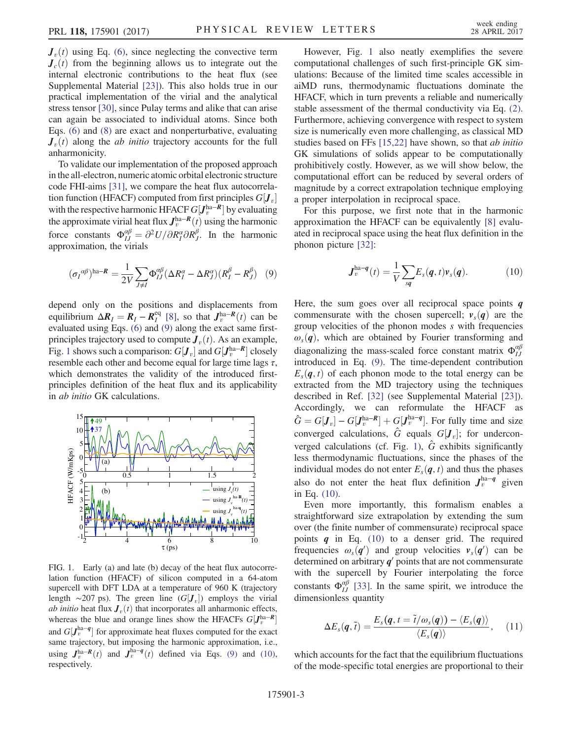$J_{\nu}(t)$  using Eq. [\(6\)](#page-1-3), since neglecting the convective term  $J_c(t)$  from the beginning allows us to integrate out the internal electronic contributions to the heat flux (see Supplemental Material [\[23\]\)](#page-4-12). This also holds true in our practical implementation of the virial and the analytical stress tensor [\[30\]](#page-4-14), since Pulay terms and alike that can arise can again be associated to individual atoms. Since both Eqs. [\(6\)](#page-1-3) and [\(8\)](#page-1-4) are exact and nonperturbative, evaluating  $J_{\nu}(t)$  along the *ab initio* trajectory accounts for the full anharmonicity.

To validate our implementation of the proposed approach in the all-electron, numeric atomic orbital electronic structure code FHI-aims [\[31\],](#page-4-15) we compare the heat flux autocorrelation function (HFACF) computed from first principles  $G[\mathbf{J}_v]$ with the respective harmonic HFACF  $G[J_v^{\text{ha}-R}]$  by evaluating the approximate virial heat flux  $J_v^{\text{ha}-R}(t)$  using the harmonic force constants  $\Phi_{IJ}^{\alpha\beta} = \frac{\partial^2 U}{\partial R_I^{\alpha} \partial R_J^{\beta}}$ . In the harmonic approximation, the virials

<span id="page-2-0"></span>
$$
(\sigma_I^{\alpha\beta})^{\text{ha}-R} = \frac{1}{2V} \sum_{J \neq I} \Phi_{IJ}^{\alpha\beta} (\Delta R_I^{\alpha} - \Delta R_J^{\alpha})(R_I^{\beta} - R_J^{\beta}) \quad (9)
$$

depend only on the positions and displacements from equilibrium  $\Delta R_l = R_l - R_l^{\text{eq}}$  [\[8\]](#page-4-4), so that  $J_v^{\text{ha}-R}(t)$  can be evaluated using Eqs. [\(6\)](#page-1-3) and [\(9\)](#page-2-0) along the exact same firstprinciples trajectory used to compute  $J_\nu(t)$ . As an example, Fig. [1](#page-2-1) shows such a comparison:  $G[J_v]$  and  $G[J_v^{\text{ha}-R}]$  closely resemble each other and become equal for large time lags  $\tau$ , which demonstrates the validity of the introduced firstprinciples definition of the heat flux and its applicability in ab initio GK calculations.

<span id="page-2-1"></span>

FIG. 1. Early (a) and late (b) decay of the heat flux autocorrelation function (HFACF) of silicon computed in a 64-atom supercell with DFT LDA at a temperature of 960 K (trajectory length  $\sim$ 207 ps). The green line  $(G[J_v])$  employs the virial *ab initio* heat flux  $J_{v}(t)$  that incorporates all anharmonic effects, whereas the blue and orange lines show the HFACFs  $G[J_v^{\text{ha}-R}]$ and  $G[J_v^{\text{ha}-q}]$  for approximate heat fluxes computed for the exact same trajectory, but imposing the harmonic approximation, i.e., using  $J_v^{\text{ha}-R}(t)$  and  $J_v^{\text{ha}-q}(t)$  defined via Eqs. [\(9\)](#page-2-0) and [\(10\),](#page-2-2) respectively.

However, Fig. [1](#page-2-1) also neatly exemplifies the severe computational challenges of such first-principle GK simulations: Because of the limited time scales accessible in aiMD runs, thermodynamic fluctuations dominate the HFACF, which in turn prevents a reliable and numerically stable assessment of the thermal conductivity via Eq. [\(2\)](#page-1-0). Furthermore, achieving convergence with respect to system size is numerically even more challenging, as classical MD studies based on FFs [\[15,22\]](#page-4-16) have shown, so that ab initio GK simulations of solids appear to be computationally prohibitively costly. However, as we will show below, the computational effort can be reduced by several orders of magnitude by a correct extrapolation technique employing a proper interpolation in reciprocal space.

<span id="page-2-2"></span>For this purpose, we first note that in the harmonic approximation the HFACF can be equivalently [\[8\]](#page-4-4) evaluated in reciprocal space using the heat flux definition in the phonon picture [\[32\]:](#page-4-17)

$$
\boldsymbol{J}_{v}^{\text{ha}-\boldsymbol{q}}(t) = \frac{1}{V} \sum_{s\boldsymbol{q}} E_{s}(\boldsymbol{q}, t) \boldsymbol{v}_{s}(\boldsymbol{q}). \tag{10}
$$

Here, the sum goes over all reciprocal space points  $q$ commensurate with the chosen supercell;  $v_s(q)$  are the group velocities of the phonon modes s with frequencies  $\omega_s(q)$ , which are obtained by Fourier transforming and diagonalizing the mass-scaled force constant matrix  $\Phi_{IJ}^{\alpha\beta}$ introduced in Eq. [\(9\).](#page-2-0) The time-dependent contribution  $E_s(\boldsymbol{q}, t)$  of each phonon mode to the total energy can be extracted from the MD trajectory using the techniques described in Ref. [\[32\]](#page-4-17) (see Supplemental Material [\[23\]](#page-4-12)). Accordingly, we can reformulate the HFACF as  $\hat{G} = G[J_v] - G[J_v^{\text{ha}-R}] + G[J_v^{\text{ha}-q}]$ . For fully time and size converged calculations,  $\hat{G}$  equals  $G[J_v]$ ; for undercon-verged calculations (cf. Fig. [1](#page-2-1)),  $\hat{G}$  exhibits significantly less thermodynamic fluctuations, since the phases of the individual modes do not enter  $E_s(\boldsymbol{q}, t)$  and thus the phases also do not enter the heat flux definition  $J_v^{\text{ha}-q}$  given in Eq. [\(10\).](#page-2-2)

Even more importantly, this formalism enables a straightforward size extrapolation by extending the sum over (the finite number of commensurate) reciprocal space points  $q$  in Eq. [\(10\)](#page-2-2) to a denser grid. The required frequencies  $\omega_s(q')$  and group velocities  $v_s(q')$  can be determined on arbitrary  $q'$  points that are not commensurate with the supercell by Fourier interpolating the force constants  $\Phi_{IJ}^{\alpha\beta}$  [\[33\]](#page-4-18). In the same spirit, we introduce the dimensionless quantity

$$
\Delta E_s(\boldsymbol{q},\tilde{t}) = \frac{E_s(\boldsymbol{q},t=\tilde{t}/\omega_s(\boldsymbol{q})) - \langle E_s(\boldsymbol{q}) \rangle}{\langle E_s(\boldsymbol{q}) \rangle},\quad(11)
$$

which accounts for the fact that the equilibrium fluctuations of the mode-specific total energies are proportional to their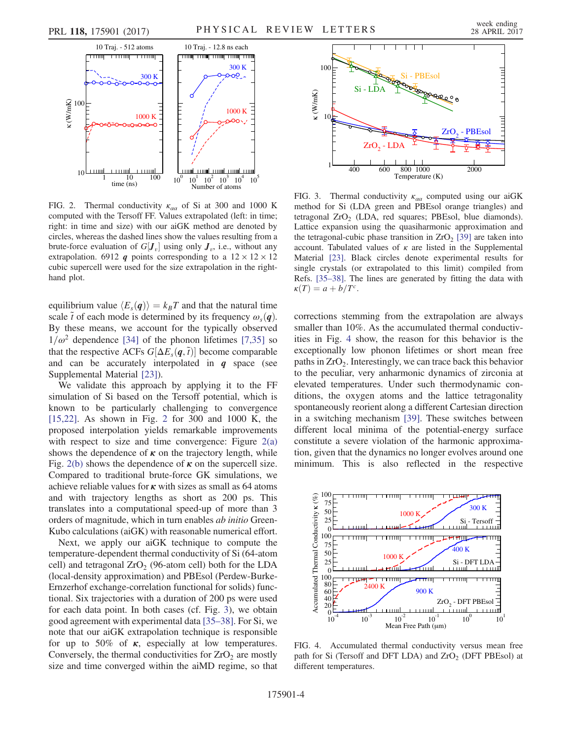<span id="page-3-0"></span>

FIG. 2. Thermal conductivity  $\kappa_{\alpha\alpha}$  of Si at 300 and 1000 K computed with the Tersoff FF. Values extrapolated (left: in time; right: in time and size) with our aiGK method are denoted by circles, whereas the dashed lines show the values resulting from a brute-force evaluation of  $G[J_v]$  using only  $J_v$ , i.e., without any extrapolation. 6912 q points corresponding to a  $12 \times 12 \times 12$ cubic supercell were used for the size extrapolation in the righthand plot.

equilibrium value  $\langle E_s(q) \rangle = k_B T$  and that the natural time scale  $\tilde{t}$  of each mode is determined by its frequency  $\omega_s(q)$ . By these means, we account for the typically observed  $1/\omega^2$  dependence [\[34\]](#page-4-19) of the phonon lifetimes [\[7,35\]](#page-4-20) so that the respective ACFs  $G[\Delta E_s(\boldsymbol{q},\tilde{t})]$  become comparable and can be accurately interpolated in  $q$  space (see Supplemental Material [\[23\]\)](#page-4-12).

We validate this approach by applying it to the FF simulation of Si based on the Tersoff potential, which is known to be particularly challenging to convergence [\[15,22\]](#page-4-16). As shown in Fig. [2](#page-3-0) for 300 and 1000 K, the proposed interpolation yields remarkable improvements with respect to size and time convergence: Figure  $2(a)$ shows the dependence of  $\kappa$  on the trajectory length, while Fig. [2\(b\)](#page-3-0) shows the dependence of  $\kappa$  on the supercell size. Compared to traditional brute-force GK simulations, we achieve reliable values for  $\kappa$  with sizes as small as 64 atoms and with trajectory lengths as short as 200 ps. This translates into a computational speed-up of more than 3 orders of magnitude, which in turn enables ab initio Green-Kubo calculations (aiGK) with reasonable numerical effort.

Next, we apply our aiGK technique to compute the temperature-dependent thermal conductivity of Si (64-atom cell) and tetragonal  $ZrO<sub>2</sub>$  (96-atom cell) both for the LDA (local-density approximation) and PBEsol (Perdew-Burke-Ernzerhof exchange-correlation functional for solids) functional. Six trajectories with a duration of 200 ps were used for each data point. In both cases (cf. Fig. [3\)](#page-3-1), we obtain good agreement with experimental data [\[35](#page-4-21)–38]. For Si, we note that our aiGK extrapolation technique is responsible for up to 50% of  $\kappa$ , especially at low temperatures. Conversely, the thermal conductivities for  $ZrO<sub>2</sub>$  are mostly size and time converged within the aiMD regime, so that

<span id="page-3-1"></span>

FIG. 3. Thermal conductivity  $\kappa_{\alpha\alpha}$  computed using our aiGK method for Si (LDA green and PBEsol orange triangles) and tetragonal  $ZrO<sub>2</sub>$  (LDA, red squares; PBEsol, blue diamonds). Lattice expansion using the quasiharmonic approximation and the tetragonal-cubic phase transition in  $ZrO<sub>2</sub>$  [\[39\]](#page-4-22) are taken into account. Tabulated values of  $\kappa$  are listed in the Supplemental Material [\[23\]](#page-4-12). Black circles denote experimental results for single crystals (or extrapolated to this limit) compiled from Refs. [\[35](#page-4-21)–38]. The lines are generated by fitting the data with  $\kappa(T) = a + b/T^c$ .

corrections stemming from the extrapolation are always smaller than 10%. As the accumulated thermal conductivities in Fig. [4](#page-3-2) show, the reason for this behavior is the exceptionally low phonon lifetimes or short mean free paths in  $ZrO<sub>2</sub>$ . Interestingly, we can trace back this behavior to the peculiar, very anharmonic dynamics of zirconia at elevated temperatures. Under such thermodynamic conditions, the oxygen atoms and the lattice tetragonality spontaneously reorient along a different Cartesian direction in a switching mechanism [\[39\].](#page-4-22) These switches between different local minima of the potential-energy surface constitute a severe violation of the harmonic approximation, given that the dynamics no longer evolves around one minimum. This is also reflected in the respective

<span id="page-3-2"></span>

FIG. 4. Accumulated thermal conductivity versus mean free path for Si (Tersoff and DFT LDA) and  $ZrO<sub>2</sub>$  (DFT PBEsol) at different temperatures.